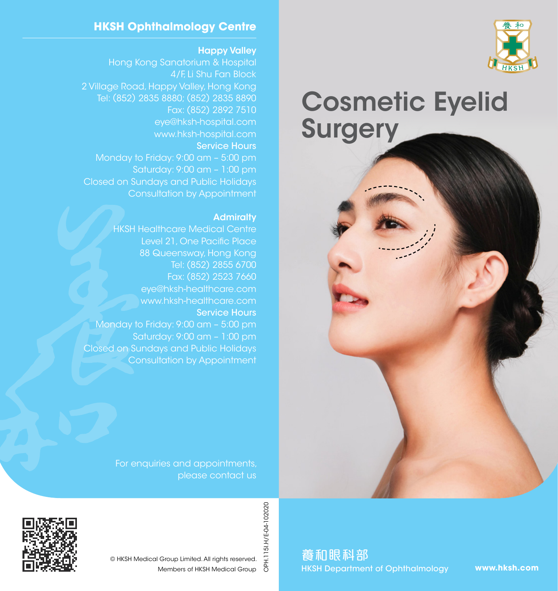

# Cosmetic Eyelid **Surgery**



### **HKSH Ophthalmology Centre**

#### Happy Valley

4/F, Li Shu Fan Block 2 Village Road, Happy Valley, Hong Kong Tel: (852) 2835 8880; (852) 2835 8890 Fax: (852) 2892 7510 eye@hksh-hospital.com www.hksh-hospital.com Service Hours Monday to Friday: 9:00 am – 5:00 pm Saturday: 9:00 am – 1:00 pm Closed on Sundays and Public Holidays Consultation by Appointment

#### **Admiralty**

HKSH Healthcare Medical Centre Level 21, One Pacific Place 88 Queensway, Hong Kong Tel: (852) 2855 6700 Fax: (852) 2523 7660 eye@hksh-healthcare.com www.hksh-healthcare.com Service Hours Monday to Friday: 9:00 am – 5:00 pm Saturday: 9:00 am – 1:00 pm Closed on Sundays and Public Holidays Consultation by Appointment

> For enquiries and appointments, please contact us



OPH.115I.H/E-04-102020 OPH.115I.H/E-04-102020 © HKSH Medical Group Limited. All rights reserved. Members of HKSH Medical Group

養和眼科部 HKSH Department of Ophthalmology

**www.hksh.com**